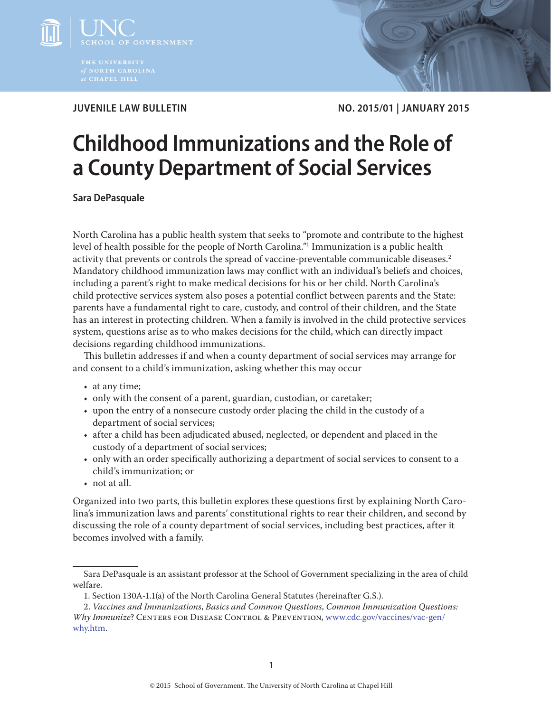

**JUVENILE LAW BULLETIN NO. 2015/01 | JANUARY 2015**

# **Childhood Immunizations and the Role of a County Department of Social Services**

**Sara DePasquale**

North Carolina has a public health system that seeks to "promote and contribute to the highest level of health possible for the people of North Carolina."1 Immunization is a public health activity that prevents or controls the spread of vaccine-preventable communicable diseases.<sup>2</sup> Mandatory childhood immunization laws may conflict with an individual's beliefs and choices, including a parent's right to make medical decisions for his or her child. North Carolina's child protective services system also poses a potential conflict between parents and the State: parents have a fundamental right to care, custody, and control of their children, and the State has an interest in protecting children. When a family is involved in the child protective services system, questions arise as to who makes decisions for the child, which can directly impact decisions regarding childhood immunizations.

This bulletin addresses if and when a county department of social services may arrange for and consent to a child's immunization, asking whether this may occur

- at any time;
- only with the consent of a parent, guardian, custodian, or caretaker;
- upon the entry of a nonsecure custody order placing the child in the custody of a department of social services;
- after a child has been adjudicated abused, neglected, or dependent and placed in the custody of a department of social services;
- only with an order specifically authorizing a department of social services to consent to a child's immunization; or
- not at all.

Organized into two parts, this bulletin explores these questions first by explaining North Carolina's immunization laws and parents' constitutional rights to rear their children, and second by discussing the role of a county department of social services, including best practices, after it becomes involved with a family.

Sara DePasquale is an assistant professor at the School of Government specializing in the area of child welfare.

<sup>1.</sup> Section 130A-1.1(a) of the North Carolina General Statutes (hereinafter G.S.).

<sup>2.</sup> *Vaccines and Immunizations*, *Basics and Common Questions*, *Common Immunization Questions: Why Immunize*? Centers for Disease Control & Prevention, [www.cdc.gov/vaccines/vac-gen/](www.cdc.gov/vaccines/vac-gen/why.htm) [why.htm](www.cdc.gov/vaccines/vac-gen/why.htm).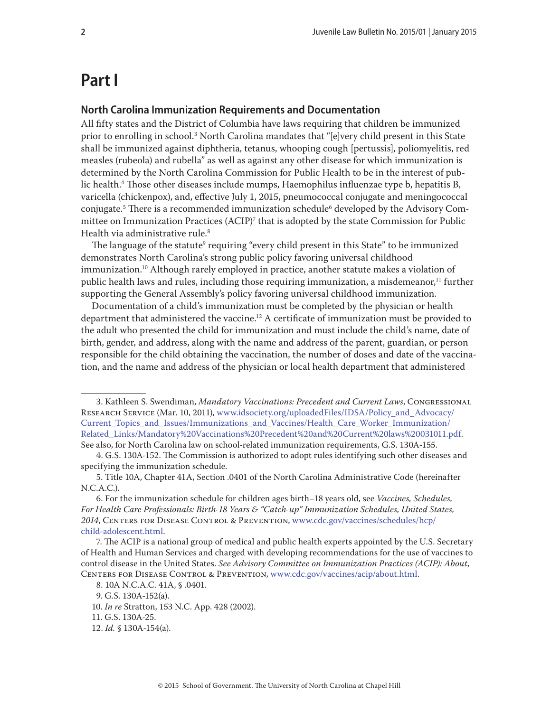# **Part I**

#### **North Carolina Immunization Requirements and Documentation**

All fifty states and the District of Columbia have laws requiring that children be immunized prior to enrolling in school.3 North Carolina mandates that "[e]very child present in this State shall be immunized against diphtheria, tetanus, whooping cough [pertussis], poliomyelitis, red measles (rubeola) and rubella" as well as against any other disease for which immunization is determined by the North Carolina Commission for Public Health to be in the interest of public health.4 Those other diseases include mumps, Haemophilus influenzae type b, hepatitis B, varicella (chickenpox), and, effective July 1, 2015, pneumococcal conjugate and meningococcal conjugate.<sup>5</sup> There is a recommended immunization schedule<sup>6</sup> developed by the Advisory Committee on Immunization Practices (ACIP)7 that is adopted by the state Commission for Public Health via administrative rule.<sup>8</sup>

The language of the statute<sup>9</sup> requiring "every child present in this State" to be immunized demonstrates North Carolina's strong public policy favoring universal childhood immunization.<sup>10</sup> Although rarely employed in practice, another statute makes a violation of public health laws and rules, including those requiring immunization, a misdemeanor,<sup>11</sup> further supporting the General Assembly's policy favoring universal childhood immunization.

Documentation of a child's immunization must be completed by the physician or health department that administered the vaccine.<sup>12</sup> A certificate of immunization must be provided to the adult who presented the child for immunization and must include the child's name, date of birth, gender, and address, along with the name and address of the parent, guardian, or person responsible for the child obtaining the vaccination, the number of doses and date of the vaccination, and the name and address of the physician or local health department that administered

10. *In re* Stratton, 153 N.C. App. 428 (2002).

<sup>3.</sup> Kathleen S. Swendiman, *Mandatory Vaccinations: Precedent and Current Laws*, Congressional RESEARCH SERVICE (Mar. 10, 2011), [www.idsociety.org/uploadedFiles/IDSA/Policy\\_and\\_Advocacy/](www.idsociety.org/uploadedFiles/IDSA/Policy_and_Advocacy/Current_Topics_and_Issues/Immunizations_and_Vaccines/Health_Care_Worker_Immunization/Related_Links/Mandatory%20Vaccinations%20Precedent%20and%20Current%20laws%20031011.pdf) [Current\\_Topics\\_and\\_Issues/Immunizations\\_and\\_Vaccines/Health\\_Care\\_Worker\\_Immunization/](www.idsociety.org/uploadedFiles/IDSA/Policy_and_Advocacy/Current_Topics_and_Issues/Immunizations_and_Vaccines/Health_Care_Worker_Immunization/Related_Links/Mandatory%20Vaccinations%20Precedent%20and%20Current%20laws%20031011.pdf) [Related\\_Links/Mandatory%20Vaccinations%20Precedent%20and%20Current%20laws%20031011.pdf.](www.idsociety.org/uploadedFiles/IDSA/Policy_and_Advocacy/Current_Topics_and_Issues/Immunizations_and_Vaccines/Health_Care_Worker_Immunization/Related_Links/Mandatory%20Vaccinations%20Precedent%20and%20Current%20laws%20031011.pdf) See also, for North Carolina law on school-related immunization requirements, G.S. 130A-155.

<sup>4.</sup> G.S. 130A-152. The Commission is authorized to adopt rules identifying such other diseases and specifying the immunization schedule.

<sup>5.</sup> Title 10A, Chapter 41A, Section .0401 of the North Carolina Administrative Code (hereinafter N.C.A.C.).

<sup>6.</sup> For the immunization schedule for children ages birth–18 years old, see *Vaccines, Schedules, For Health Care Professionals: Birth-18 Years & "Catch-up" Immunization Schedules, United States, 2014*, Centers for Disease Control & Prevention, [www.cdc.gov/vaccines/schedules/hcp/](www.cdc.gov/vaccines/schedules/hcp/child-adolescent.html) [child-adolescent.html](www.cdc.gov/vaccines/schedules/hcp/child-adolescent.html).

<sup>7.</sup> The ACIP is a national group of medical and public health experts appointed by the U.S. Secretary of Health and Human Services and charged with developing recommendations for the use of vaccines to control disease in the United States. *See Advisory Committee on Immunization Practices (ACIP): About*, Centers for Disease Control & Prevention, <www.cdc.gov/vaccines/acip/about.html>.

<sup>8. 10</sup>A N.C.A.C. 41A, § .0401.

<sup>9.</sup> G.S. 130A-152(a).

<sup>11.</sup> G.S. 130A-25.

<sup>12.</sup> *Id.* § 130A-154(a).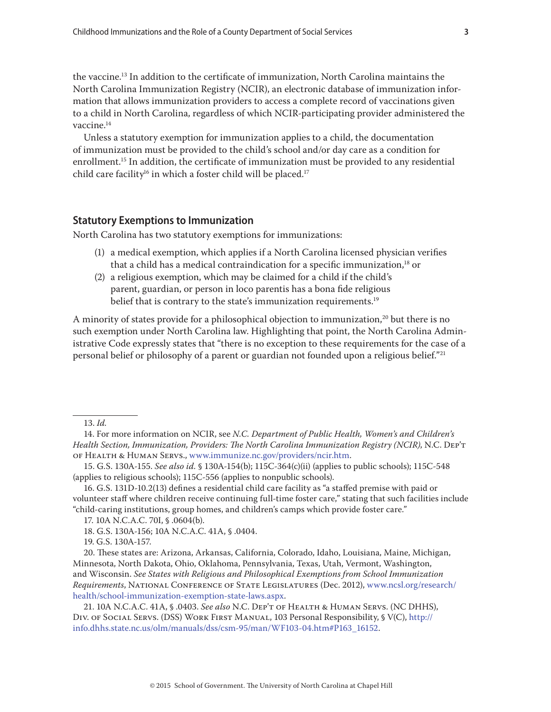the vaccine.13 In addition to the certificate of immunization, North Carolina maintains the North Carolina Immunization Registry (NCIR), an electronic database of immunization information that allows immunization providers to access a complete record of vaccinations given to a child in North Carolina, regardless of which NCIR-participating provider administered the vaccine.<sup>14</sup>

Unless a statutory exemption for immunization applies to a child, the documentation of immunization must be provided to the child's school and/or day care as a condition for enrollment.<sup>15</sup> In addition, the certificate of immunization must be provided to any residential child care facility<sup>16</sup> in which a foster child will be placed.<sup>17</sup>

#### **Statutory Exemptions to Immunization**

North Carolina has two statutory exemptions for immunizations:

- (1) a medical exemption, which applies if a North Carolina licensed physician verifies that a child has a medical contraindication for a specific immunization, $18$  or
- (2) a religious exemption, which may be claimed for a child if the child's parent, guardian, or person in loco parentis has a bona fide religious belief that is contrary to the state's immunization requirements.<sup>19</sup>

A minority of states provide for a philosophical objection to immunization, $^{20}$  but there is no such exemption under North Carolina law. Highlighting that point, the North Carolina Administrative Code expressly states that "there is no exception to these requirements for the case of a personal belief or philosophy of a parent or guardian not founded upon a religious belief."<sup>21</sup>

13. *Id.*

16. G.S. 131D-10.2(13) defines a residential child care facility as "a staffed premise with paid or volunteer staff where children receive continuing full-time foster care," stating that such facilities include "child-caring institutions, group homes, and children's camps which provide foster care."

19. G.S. 130A-157.

20. These states are: Arizona, Arkansas, California, Colorado, Idaho, Louisiana, Maine, Michigan, Minnesota, North Dakota, Ohio, Oklahoma, Pennsylvania, Texas, Utah, Vermont, Washington, and Wisconsin. *See States with Religious and Philosophical Exemptions from School Immunization Requirements*, National Conference of State Legislatures (Dec. 2012), [www.ncsl.org/research/](www.ncsl.org/research/health/school-immunization-exemption-state-laws.aspx) [health/school-immunization-exemption-state-laws.aspx.](www.ncsl.org/research/health/school-immunization-exemption-state-laws.aspx)

<sup>14.</sup> For more information on NCIR, see *N.C. Department of Public Health, Women's and Children's Health Section, Immunization, Providers: The North Carolina Immunization Registry (NCIR)*, N.C. Dep't of Health & Human Servs.,<www.immunize.nc.gov/providers/ncir.htm>.

<sup>15.</sup> G.S. 130A-155. *See also id.* § 130A-154(b); 115C-364(c)(ii) (applies to public schools); 115C-548 (applies to religious schools); 115C-556 (applies to nonpublic schools).

<sup>17. 10</sup>A N.C.A.C. 70I, § .0604(b).

<sup>18.</sup> G.S. 130A-156; 10A N.C.A.C. 41A, § .0404.

<sup>21. 10</sup>A N.C.A.C. 41A, § .0403. *See also* N.C. Dep't of Health & Human Servs. (NC DHHS), Div. of Social Servs. (DSS) Work First Manual, 103 Personal Responsibility, § V(C), [http://](http://info.dhhs.state.nc.us/olm/manuals/dss/csm-95/man/WF103-04.htm#P163_16152) [info.dhhs.state.nc.us/olm/manuals/dss/csm-95/man/WF103-04.htm#P163\\_16152.](http://info.dhhs.state.nc.us/olm/manuals/dss/csm-95/man/WF103-04.htm#P163_16152)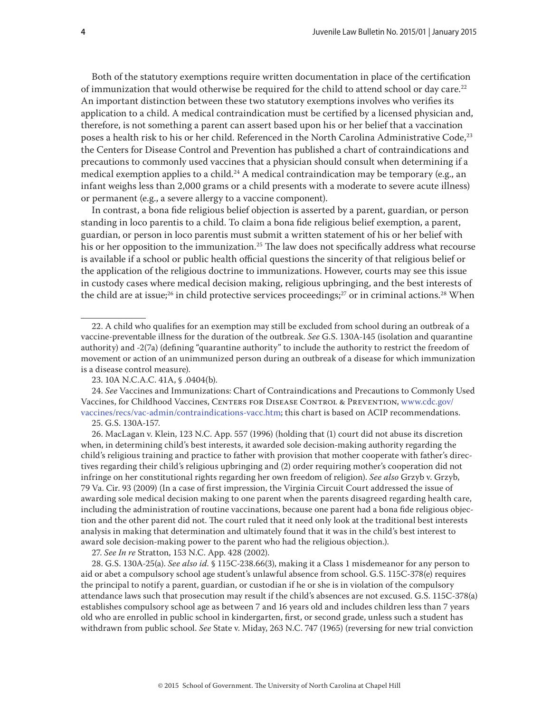Both of the statutory exemptions require written documentation in place of the certification of immunization that would otherwise be required for the child to attend school or day care.<sup>22</sup> An important distinction between these two statutory exemptions involves who verifies its application to a child. A medical contraindication must be certified by a licensed physician and, therefore, is not something a parent can assert based upon his or her belief that a vaccination poses a health risk to his or her child. Referenced in the North Carolina Administrative Code,<sup>23</sup> the Centers for Disease Control and Prevention has published a chart of contraindications and precautions to commonly used vaccines that a physician should consult when determining if a medical exemption applies to a child.<sup>24</sup> A medical contraindication may be temporary (e.g., an infant weighs less than 2,000 grams or a child presents with a moderate to severe acute illness) or permanent (e.g., a severe allergy to a vaccine component).

In contrast, a bona fide religious belief objection is asserted by a parent, guardian, or person standing in loco parentis to a child. To claim a bona fide religious belief exemption, a parent, guardian, or person in loco parentis must submit a written statement of his or her belief with his or her opposition to the immunization.<sup>25</sup> The law does not specifically address what recourse is available if a school or public health official questions the sincerity of that religious belief or the application of the religious doctrine to immunizations. However, courts may see this issue in custody cases where medical decision making, religious upbringing, and the best interests of the child are at issue;<sup>26</sup> in child protective services proceedings;<sup>27</sup> or in criminal actions.<sup>28</sup> When

27. *See In re* Stratton, 153 N.C. App. 428 (2002).

28. G.S. 130A-25(a). *See also id.* § 115C-238.66(3), making it a Class 1 misdemeanor for any person to aid or abet a compulsory school age student's unlawful absence from school. G.S. 115C-378(e) requires the principal to notify a parent, guardian, or custodian if he or she is in violation of the compulsory attendance laws such that prosecution may result if the child's absences are not excused. G.S. 115C-378(a) establishes compulsory school age as between 7 and 16 years old and includes children less than 7 years old who are enrolled in public school in kindergarten, first, or second grade, unless such a student has withdrawn from public school. *See* State v. Miday, 263 N.C. 747 (1965) (reversing for new trial conviction

<sup>22.</sup> A child who qualifies for an exemption may still be excluded from school during an outbreak of a vaccine-preventable illness for the duration of the outbreak. *See* G.S. 130A-145 (isolation and quarantine authority) and -2(7a) (defining "quarantine authority" to include the authority to restrict the freedom of movement or action of an unimmunized person during an outbreak of a disease for which immunization is a disease control measure).

<sup>23. 10</sup>A N.C.A.C. 41A, § .0404(b).

<sup>24.</sup> *See* Vaccines and Immunizations: Chart of Contraindications and Precautions to Commonly Used Vaccines, for Childhood Vaccines, CENTERS FOR DISEASE CONTROL & PREVENTION, [www.cdc.gov/](www.cdc.gov/vaccines/recs/vac-admin/contraindications-vacc.htm) [vaccines/recs/vac-admin/contraindications-vacc.htm](www.cdc.gov/vaccines/recs/vac-admin/contraindications-vacc.htm); this chart is based on ACIP recommendations. 25. G.S. 130A-157.

<sup>26.</sup> MacLagan v. Klein, 123 N.C. App. 557 (1996) (holding that (1) court did not abuse its discretion when, in determining child's best interests, it awarded sole decision-making authority regarding the child's religious training and practice to father with provision that mother cooperate with father's directives regarding their child's religious upbringing and (2) order requiring mother's cooperation did not infringe on her constitutional rights regarding her own freedom of religion). *See also* Grzyb v. Grzyb, 79 Va. Cir. 93 (2009) (In a case of first impression, the Virginia Circuit Court addressed the issue of awarding sole medical decision making to one parent when the parents disagreed regarding health care, including the administration of routine vaccinations, because one parent had a bona fide religious objection and the other parent did not. The court ruled that it need only look at the traditional best interests analysis in making that determination and ultimately found that it was in the child's best interest to award sole decision-making power to the parent who had the religious objection.).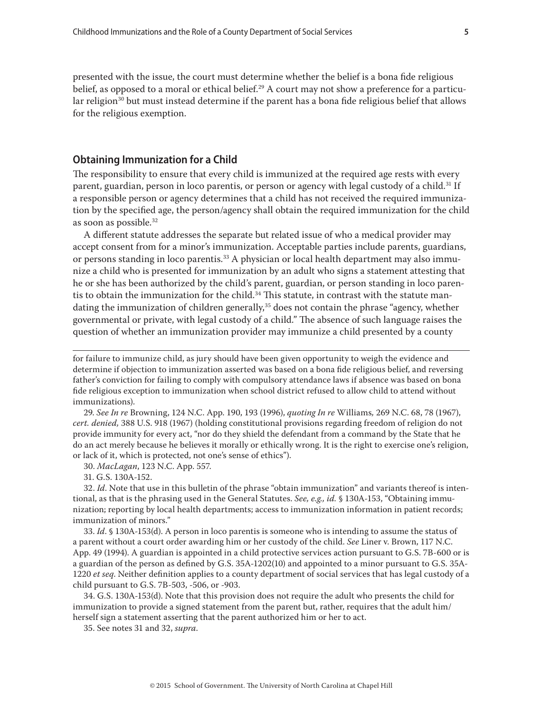presented with the issue, the court must determine whether the belief is a bona fide religious belief, as opposed to a moral or ethical belief.<sup>29</sup> A court may not show a preference for a particular religion<sup>30</sup> but must instead determine if the parent has a bona fide religious belief that allows for the religious exemption.

#### **Obtaining Immunization for a Child**

The responsibility to ensure that every child is immunized at the required age rests with every parent, guardian, person in loco parentis, or person or agency with legal custody of a child.<sup>31</sup> If a responsible person or agency determines that a child has not received the required immunization by the specified age, the person/agency shall obtain the required immunization for the child as soon as possible.32

A different statute addresses the separate but related issue of who a medical provider may accept consent from for a minor's immunization. Acceptable parties include parents, guardians, or persons standing in loco parentis.<sup>33</sup> A physician or local health department may also immunize a child who is presented for immunization by an adult who signs a statement attesting that he or she has been authorized by the child's parent, guardian, or person standing in loco parentis to obtain the immunization for the child. $34$  This statute, in contrast with the statute mandating the immunization of children generally,<sup>35</sup> does not contain the phrase "agency, whether governmental or private, with legal custody of a child." The absence of such language raises the question of whether an immunization provider may immunize a child presented by a county

for failure to immunize child, as jury should have been given opportunity to weigh the evidence and determine if objection to immunization asserted was based on a bona fide religious belief, and reversing father's conviction for failing to comply with compulsory attendance laws if absence was based on bona fide religious exception to immunization when school district refused to allow child to attend without immunizations).

29. *See In re* Browning, 124 N.C. App. 190, 193 (1996), *quoting In re* Williams*,* 269 N.C. 68, 78 (1967), *cert. denied,* 388 U.S. 918 (1967) (holding constitutional provisions regarding freedom of religion do not provide immunity for every act, "nor do they shield the defendant from a command by the State that he do an act merely because he believes it morally or ethically wrong. It is the right to exercise one's religion, or lack of it, which is protected, not one's sense of ethics").

30. *MacLagan*, 123 N.C. App. 557.

31. G.S. 130A-152.

32. *Id*. Note that use in this bulletin of the phrase "obtain immunization" and variants thereof is intentional, as that is the phrasing used in the General Statutes. *See, e.g., id.* § 130A-153, "Obtaining immunization; reporting by local health departments; access to immunization information in patient records; immunization of minors."

33. *Id*. § 130A-153(d). A person in loco parentis is someone who is intending to assume the status of a parent without a court order awarding him or her custody of the child. *See* Liner v. Brown, 117 N.C. App. 49 (1994). A guardian is appointed in a child protective services action pursuant to G.S. 7B-600 or is a guardian of the person as defined by G.S. 35A-1202(10) and appointed to a minor pursuant to G.S. 35A-1220 *et seq*. Neither definition applies to a county department of social services that has legal custody of a child pursuant to G.S. 7B-503, -506, or -903.

34. G.S. 130A-153(d). Note that this provision does not require the adult who presents the child for immunization to provide a signed statement from the parent but, rather, requires that the adult him/ herself sign a statement asserting that the parent authorized him or her to act.

35. See notes 31 and 32, *supra*.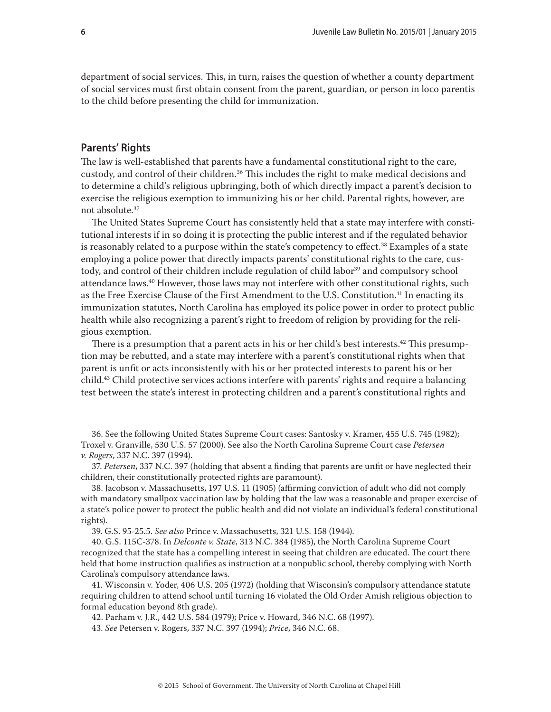department of social services. This, in turn, raises the question of whether a county department of social services must first obtain consent from the parent, guardian, or person in loco parentis to the child before presenting the child for immunization.

#### **Parents' Rights**

The law is well-established that parents have a fundamental constitutional right to the care, custody, and control of their children.<sup>36</sup> This includes the right to make medical decisions and to determine a child's religious upbringing, both of which directly impact a parent's decision to exercise the religious exemption to immunizing his or her child. Parental rights, however, are not absolute.37

The United States Supreme Court has consistently held that a state may interfere with constitutional interests if in so doing it is protecting the public interest and if the regulated behavior is reasonably related to a purpose within the state's competency to effect.<sup>38</sup> Examples of a state employing a police power that directly impacts parents' constitutional rights to the care, custody, and control of their children include regulation of child labor<sup>39</sup> and compulsory school attendance laws.40 However, those laws may not interfere with other constitutional rights, such as the Free Exercise Clause of the First Amendment to the U.S. Constitution.<sup>41</sup> In enacting its immunization statutes, North Carolina has employed its police power in order to protect public health while also recognizing a parent's right to freedom of religion by providing for the religious exemption.

There is a presumption that a parent acts in his or her child's best interests.<sup>42</sup> This presumption may be rebutted, and a state may interfere with a parent's constitutional rights when that parent is unfit or acts inconsistently with his or her protected interests to parent his or her child.43 Child protective services actions interfere with parents' rights and require a balancing test between the state's interest in protecting children and a parent's constitutional rights and

<sup>36.</sup> See the following United States Supreme Court cases: Santosky v. Kramer, 455 U.S. 745 (1982); Troxel v. Granville, 530 U.S. 57 (2000). See also the North Carolina Supreme Court case *Petersen v. Rogers*, 337 N.C. 397 (1994).

<sup>37.</sup> *Petersen*, 337 N.C. 397 (holding that absent a finding that parents are unfit or have neglected their children, their constitutionally protected rights are paramount).

<sup>38.</sup> Jacobson v. Massachusetts, 197 U.S. 11 (1905) (affirming conviction of adult who did not comply with mandatory smallpox vaccination law by holding that the law was a reasonable and proper exercise of a state's police power to protect the public health and did not violate an individual's federal constitutional rights).

<sup>39.</sup> G.S. 95-25.5. *See also* Prince v. Massachusetts, 321 U.S. 158 (1944).

<sup>40.</sup> G.S. 115C-378. In *Delconte v. State*, 313 N.C. 384 (1985), the North Carolina Supreme Court recognized that the state has a compelling interest in seeing that children are educated. The court there held that home instruction qualifies as instruction at a nonpublic school, thereby complying with North Carolina's compulsory attendance laws.

<sup>41.</sup> Wisconsin v. Yoder, 406 U.S. 205 (1972) (holding that Wisconsin's compulsory attendance statute requiring children to attend school until turning 16 violated the Old Order Amish religious objection to formal education beyond 8th grade).

<sup>42.</sup> Parham v. J.R., 442 U.S. 584 (1979); Price v. Howard, 346 N.C. 68 (1997).

<sup>43.</sup> *See* Petersen v. Rogers, 337 N.C. 397 (1994); *Price*, 346 N.C. 68.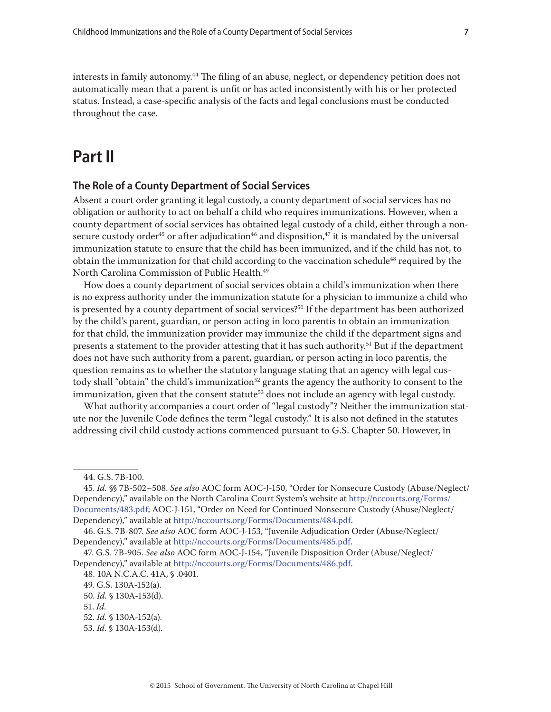interests in family autonomy.<sup>44</sup> The filing of an abuse, neglect, or dependency petition does not automatically mean that a parent is unfit or has acted inconsistently with his or her protected status. Instead, a case-specific analysis of the facts and legal conclusions must be conducted throughout the case.

## **Part II**

#### **The Role of a County Department of Social Services**

Absent a court order granting it legal custody, a county department of social services has no obligation or authority to act on behalf a child who requires immunizations. However, when a county department of social services has obtained legal custody of a child, either through a nonsecure custody order<sup>45</sup> or after adjudication<sup>46</sup> and disposition,<sup>47</sup> it is mandated by the universal immunization statute to ensure that the child has been immunized, and if the child has not, to obtain the immunization for that child according to the vaccination schedule<sup>48</sup> required by the North Carolina Commission of Public Health.<sup>49</sup>

How does a county department of social services obtain a child's immunization when there is no express authority under the immunization statute for a physician to immunize a child who is presented by a county department of social services?<sup>50</sup> If the department has been authorized by the child's parent, guardian, or person acting in loco parentis to obtain an immunization for that child, the immunization provider may immunize the child if the department signs and presents a statement to the provider attesting that it has such authority.<sup>51</sup> But if the department does not have such authority from a parent, guardian, or person acting in loco parentis, the question remains as to whether the statutory language stating that an agency with legal custody shall "obtain" the child's immunization<sup>52</sup> grants the agency the authority to consent to the immunization, given that the consent statute<sup>53</sup> does not include an agency with legal custody.

What authority accompanies a court order of "legal custody"? Neither the immunization statute nor the Juvenile Code defines the term "legal custody." It is also not defined in the statutes addressing civil child custody actions commenced pursuant to G.S. Chapter 50. However, in

46. G.S. 7B-807. *See also* AOC form AOC-J-153, "Juvenile Adjudication Order (Abuse/Neglect/ Dependency)," available at [http://nccourts.org/Forms/Documents/485.pdf.](http://nccourts.org/Forms/Documents/485.pdf)

48. 10A N.C.A.C. 41A, § .0401.

<sup>44.</sup> G.S. 7B-100.

<sup>45.</sup> *Id.* §§ 7B-502–508. *See also* AOC form AOC-J-150, "Order for Nonsecure Custody (Abuse/Neglect/ Dependency)," available on the North Carolina Court System's website at [http://nccourts.org/Forms/](http://nccourts.org/Forms/Documents/483.pdf) [Documents/483.pdf;](http://nccourts.org/Forms/Documents/483.pdf) AOC-J-151, "Order on Need for Continued Nonsecure Custody (Abuse/Neglect/ Dependency)," available at <http://nccourts.org/Forms/Documents/484.pdf>.

<sup>47.</sup> G.S. 7B-905. *See also* AOC form AOC-J-154, "Juvenile Disposition Order (Abuse/Neglect/ Dependency)," available at [http://nccourts.org/Forms/Documents/486.pdf.](http://nccourts.org/Forms/Documents/486.pdf)

<sup>49.</sup> G.S. 130A-152(a).

<sup>50.</sup> *Id.* § 130A-153(d).

<sup>51.</sup> *Id.*

<sup>52.</sup> *Id.* § 130A-152(a).

<sup>53.</sup> *Id*. § 130A-153(d).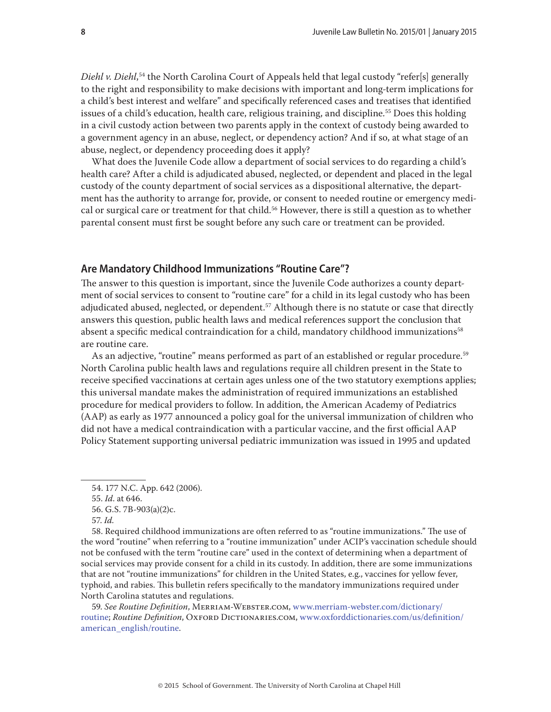*Diehl v. Diehl*, 54 the North Carolina Court of Appeals held that legal custody "refer[s] generally to the right and responsibility to make decisions with important and long-term implications for a child's best interest and welfare" and specifically referenced cases and treatises that identified issues of a child's education, health care, religious training, and discipline.<sup>55</sup> Does this holding in a civil custody action between two parents apply in the context of custody being awarded to a government agency in an abuse, neglect, or dependency action? And if so, at what stage of an abuse, neglect, or dependency proceeding does it apply?

What does the Juvenile Code allow a department of social services to do regarding a child's health care? After a child is adjudicated abused, neglected, or dependent and placed in the legal custody of the county department of social services as a dispositional alternative, the department has the authority to arrange for, provide, or consent to needed routine or emergency medical or surgical care or treatment for that child.<sup>56</sup> However, there is still a question as to whether parental consent must first be sought before any such care or treatment can be provided.

#### **Are Mandatory Childhood Immunizations "Routine Care"?**

The answer to this question is important, since the Juvenile Code authorizes a county department of social services to consent to "routine care" for a child in its legal custody who has been adjudicated abused, neglected, or dependent.<sup>57</sup> Although there is no statute or case that directly answers this question, public health laws and medical references support the conclusion that absent a specific medical contraindication for a child, mandatory childhood immunizations<sup>58</sup> are routine care.

As an adjective, "routine" means performed as part of an established or regular procedure.<sup>59</sup> North Carolina public health laws and regulations require all children present in the State to receive specified vaccinations at certain ages unless one of the two statutory exemptions applies; this universal mandate makes the administration of required immunizations an established procedure for medical providers to follow. In addition, the American Academy of Pediatrics (AAP) as early as 1977 announced a policy goal for the universal immunization of children who did not have a medical contraindication with a particular vaccine, and the first official AAP Policy Statement supporting universal pediatric immunization was issued in 1995 and updated

58. Required childhood immunizations are often referred to as "routine immunizations." The use of the word "routine" when referring to a "routine immunization" under ACIP's vaccination schedule should not be confused with the term "routine care" used in the context of determining when a department of social services may provide consent for a child in its custody. In addition, there are some immunizations that are not "routine immunizations" for children in the United States, e.g., vaccines for yellow fever, typhoid, and rabies. This bulletin refers specifically to the mandatory immunizations required under North Carolina statutes and regulations.

59. *See Routine Definition*, Merriam-Webster.com, [www.merriam-webster.com/dictionary/](http://www.merriam-webster.com/dictionary/routine) [routine;](http://www.merriam-webster.com/dictionary/routine) *Routine Definition*, Oxford DICTIONARIES.COM, [www.oxforddictionaries.com/us/definition/](www.oxforddictionaries.com/us/definition/american_english/routine) [american\\_english/routine.](www.oxforddictionaries.com/us/definition/american_english/routine)

<sup>54. 177</sup> N.C. App. 642 (2006).

<sup>55.</sup> *Id*. at 646.

<sup>56.</sup> G.S. 7B-903(a)(2)c.

<sup>57.</sup> *Id.*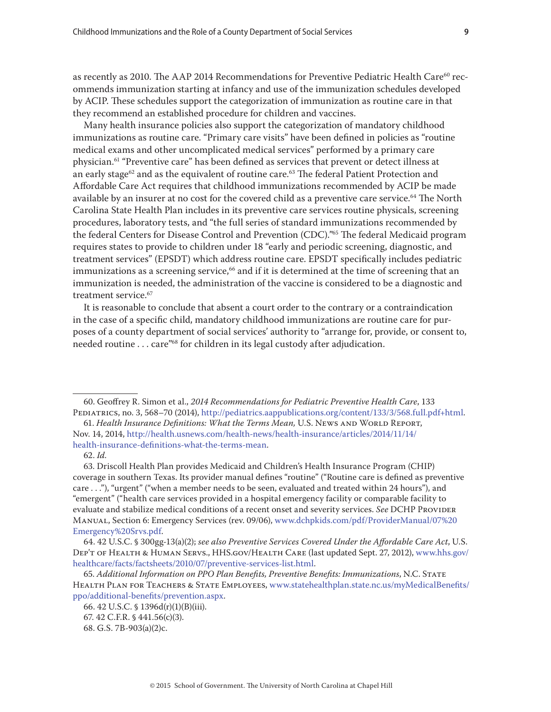as recently as 2010. The AAP 2014 Recommendations for Preventive Pediatric Health Care<sup>60</sup> recommends immunization starting at infancy and use of the immunization schedules developed by ACIP. These schedules support the categorization of immunization as routine care in that they recommend an established procedure for children and vaccines.

Many health insurance policies also support the categorization of mandatory childhood immunizations as routine care. "Primary care visits" have been defined in policies as "routine medical exams and other uncomplicated medical services" performed by a primary care physician.<sup>61</sup> "Preventive care" has been defined as services that prevent or detect illness at an early stage<sup>62</sup> and as the equivalent of routine care.<sup>63</sup> The federal Patient Protection and Affordable Care Act requires that childhood immunizations recommended by ACIP be made available by an insurer at no cost for the covered child as a preventive care service.<sup>64</sup> The North Carolina State Health Plan includes in its preventive care services routine physicals, screening procedures, laboratory tests, and "the full series of standard immunizations recommended by the federal Centers for Disease Control and Prevention (CDC)."65 The federal Medicaid program requires states to provide to children under 18 "early and periodic screening, diagnostic, and treatment services" (EPSDT) which address routine care. EPSDT specifically includes pediatric immunizations as a screening service,<sup>66</sup> and if it is determined at the time of screening that an immunization is needed, the administration of the vaccine is considered to be a diagnostic and treatment service.<sup>67</sup>

It is reasonable to conclude that absent a court order to the contrary or a contraindication in the case of a specific child, mandatory childhood immunizations are routine care for purposes of a county department of social services' authority to "arrange for, provide, or consent to, needed routine . . . care<sup>"68</sup> for children in its legal custody after adjudication.

<sup>60.</sup> Geoffrey R. Simon et al., *2014 Recommendations for Pediatric Preventive Health Care*, 133 Pediatrics, no. 3, 568–70 (2014), <http://pediatrics.aappublications.org/content/133/3/568.full.pdf+html>.

<sup>61.</sup> *Health Insurance Definitions: What the Terms Mean,* U.S. News and World Report, Nov. 14, 2014, [http://health.usnews.com/health-news/health-insurance/articles/2014/11/14/](http://health.usnews.com/health-news/health-insurance/articles/2014/11/14/health-insurance-definitions-what-the-terms-mean) [health-insurance-definitions-what-the-terms-mean](http://health.usnews.com/health-news/health-insurance/articles/2014/11/14/health-insurance-definitions-what-the-terms-mean).

<sup>62.</sup> *Id.*

<sup>63.</sup> Driscoll Health Plan provides Medicaid and Children's Health Insurance Program (CHIP) coverage in southern Texas. Its provider manual defines "routine" ("Routine care is defined as preventive care . . ."), "urgent" ("when a member needs to be seen, evaluated and treated within 24 hours"), and "emergent" ("health care services provided in a hospital emergency facility or comparable facility to evaluate and stabilize medical conditions of a recent onset and severity services. *See* DCHP Provider Manual, Section 6: Emergency Services (rev. 09/06), [www.dchpkids.com/pdf/ProviderManual/07%20](www.dchpkids.com/pdf/ProviderManual/07%20Emergency%20Srvs.pdf) [Emergency%20Srvs.pdf](www.dchpkids.com/pdf/ProviderManual/07%20Emergency%20Srvs.pdf).

<sup>64. 42</sup> U.S.C. § 300gg-13(a)(2); *see also Preventive Services Covered Under the Affordable Care Act*, U.S. Dep't of Health & Human Servs., HHS.gov/Health Care (last updated Sept. 27, 2012), [www.hhs.gov/](www.hhs.gov/healthcare/facts/factsheets/2010/07/preventive-services-list.html) [healthcare/facts/factsheets/2010/07/preventive-services-list.html.](www.hhs.gov/healthcare/facts/factsheets/2010/07/preventive-services-list.html)

<sup>65.</sup> *Additional Information on PPO Plan Benefits, Preventive Benefits: Immunizations*, N.C. State Health Plan for Teachers & State Employees, [www.statehealthplan.state.nc.us/myMedicalBenefits/](www.statehealthplan.state.nc.us/myMedicalBenefits/ppo/additional-benefits/prevention.aspx) [ppo/additional-benefits/prevention.aspx.](www.statehealthplan.state.nc.us/myMedicalBenefits/ppo/additional-benefits/prevention.aspx)

<sup>66. 42</sup> U.S.C. § 1396d(r)(1)(B)(iii). 67. 42 C.F.R. § 441.56(c)(3).

<sup>68.</sup> G.S. 7B-903(a)(2)c.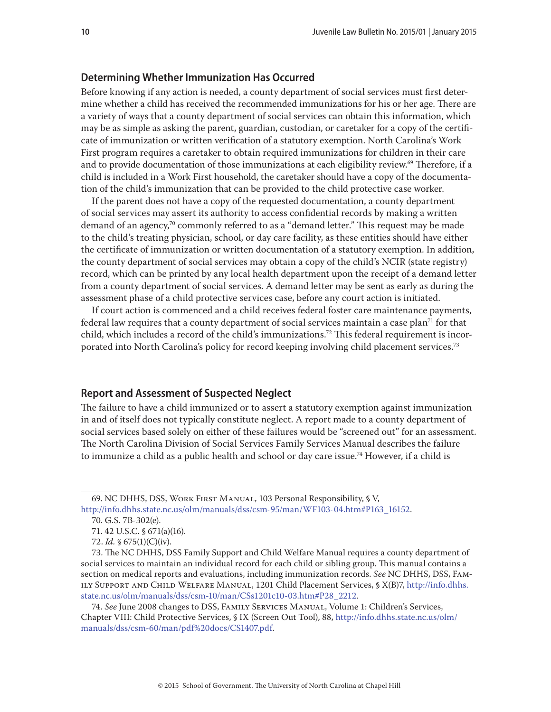#### **Determining Whether Immunization Has Occurred**

Before knowing if any action is needed, a county department of social services must first determine whether a child has received the recommended immunizations for his or her age. There are a variety of ways that a county department of social services can obtain this information, which may be as simple as asking the parent, guardian, custodian, or caretaker for a copy of the certificate of immunization or written verification of a statutory exemption. North Carolina's Work First program requires a caretaker to obtain required immunizations for children in their care and to provide documentation of those immunizations at each eligibility review.<sup>69</sup> Therefore, if a child is included in a Work First household, the caretaker should have a copy of the documentation of the child's immunization that can be provided to the child protective case worker.

If the parent does not have a copy of the requested documentation, a county department of social services may assert its authority to access confidential records by making a written demand of an agency,<sup>70</sup> commonly referred to as a "demand letter." This request may be made to the child's treating physician, school, or day care facility, as these entities should have either the certificate of immunization or written documentation of a statutory exemption. In addition, the county department of social services may obtain a copy of the child's NCIR (state registry) record, which can be printed by any local health department upon the receipt of a demand letter from a county department of social services. A demand letter may be sent as early as during the assessment phase of a child protective services case, before any court action is initiated.

If court action is commenced and a child receives federal foster care maintenance payments, federal law requires that a county department of social services maintain a case plan71 for that child, which includes a record of the child's immunizations.<sup>72</sup> This federal requirement is incorporated into North Carolina's policy for record keeping involving child placement services.<sup>73</sup>

#### **Report and Assessment of Suspected Neglect**

The failure to have a child immunized or to assert a statutory exemption against immunization in and of itself does not typically constitute neglect. A report made to a county department of social services based solely on either of these failures would be "screened out" for an assessment. The North Carolina Division of Social Services Family Services Manual describes the failure to immunize a child as a public health and school or day care issue.<sup>74</sup> However, if a child is

<sup>69.</sup> NC DHHS, DSS, Work First Manual, 103 Personal Responsibility, § V, [http://info.dhhs.state.nc.us/olm/manuals/dss/csm-95/man/WF103-04.htm#P163\\_16152.](http://info.dhhs.state.nc.us/olm/manuals/dss/csm-95/man/WF103-04.htm#P163_16152)

<sup>70.</sup> G.S. 7B-302(e).

<sup>71. 42</sup> U.S.C. § 671(a)(16).

<sup>72.</sup> *Id.* § 675(1)(C)(iv).

<sup>73.</sup> The NC DHHS, DSS Family Support and Child Welfare Manual requires a county department of social services to maintain an individual record for each child or sibling group. This manual contains a section on medical reports and evaluations, including immunization records. *See* NC DHHS, DSS, Family Support and Child Welfare Manual, 1201 Child Placement Services, § X(B)7, [http://info.dhhs.](http://info.dhhs.state.nc.us/olm/manuals/dss/csm-10/man/CSs1201c10-03.htm#P28_2212) [state.nc.us/olm/manuals/dss/csm-10/man/CSs1201c10-03.htm#P28\\_2212.](http://info.dhhs.state.nc.us/olm/manuals/dss/csm-10/man/CSs1201c10-03.htm#P28_2212)

<sup>74.</sup> *See* June 2008 changes to DSS, Family Services Manual, Volume 1: Children's Services, Chapter VIII: Child Protective Services, § IX (Screen Out Tool), 88, [http://info.dhhs.state.nc.us/olm/](http://info.dhhs.state.nc.us/olm/manuals/dss/csm-60/man/pdf%20docs/CS1407.pdf) [manuals/dss/csm-60/man/pdf%20docs/CS1407.pdf.](http://info.dhhs.state.nc.us/olm/manuals/dss/csm-60/man/pdf%20docs/CS1407.pdf)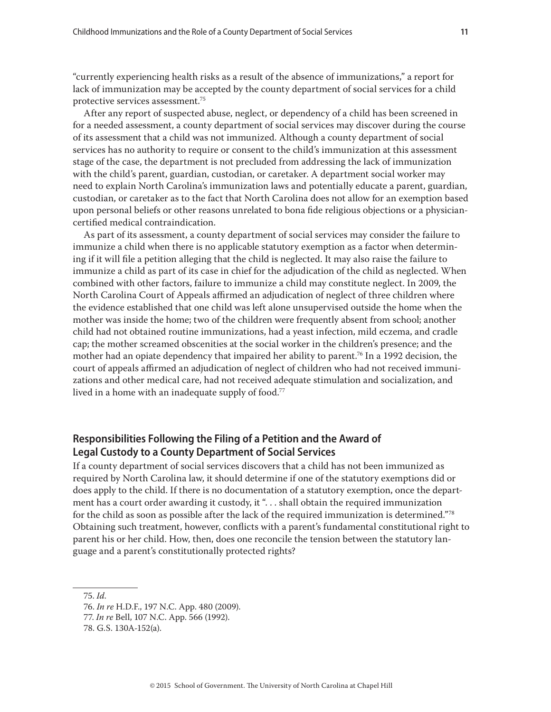"currently experiencing health risks as a result of the absence of immunizations," a report for lack of immunization may be accepted by the county department of social services for a child protective services assessment.75

After any report of suspected abuse, neglect, or dependency of a child has been screened in for a needed assessment, a county department of social services may discover during the course of its assessment that a child was not immunized. Although a county department of social services has no authority to require or consent to the child's immunization at this assessment stage of the case, the department is not precluded from addressing the lack of immunization with the child's parent, guardian, custodian, or caretaker. A department social worker may need to explain North Carolina's immunization laws and potentially educate a parent, guardian, custodian, or caretaker as to the fact that North Carolina does not allow for an exemption based upon personal beliefs or other reasons unrelated to bona fide religious objections or a physiciancertified medical contraindication.

As part of its assessment, a county department of social services may consider the failure to immunize a child when there is no applicable statutory exemption as a factor when determining if it will file a petition alleging that the child is neglected. It may also raise the failure to immunize a child as part of its case in chief for the adjudication of the child as neglected. When combined with other factors, failure to immunize a child may constitute neglect. In 2009, the North Carolina Court of Appeals affirmed an adjudication of neglect of three children where the evidence established that one child was left alone unsupervised outside the home when the mother was inside the home; two of the children were frequently absent from school; another child had not obtained routine immunizations, had a yeast infection, mild eczema, and cradle cap; the mother screamed obscenities at the social worker in the children's presence; and the mother had an opiate dependency that impaired her ability to parent.<sup>76</sup> In a 1992 decision, the court of appeals affirmed an adjudication of neglect of children who had not received immunizations and other medical care, had not received adequate stimulation and socialization, and lived in a home with an inadequate supply of food.<sup>77</sup>

#### **Responsibilities Following the Filing of a Petition and the Award of Legal Custody to a County Department of Social Services**

If a county department of social services discovers that a child has not been immunized as required by North Carolina law, it should determine if one of the statutory exemptions did or does apply to the child. If there is no documentation of a statutory exemption, once the department has a court order awarding it custody, it ". . . shall obtain the required immunization for the child as soon as possible after the lack of the required immunization is determined."<sup>78</sup> Obtaining such treatment, however, conflicts with a parent's fundamental constitutional right to parent his or her child. How, then, does one reconcile the tension between the statutory language and a parent's constitutionally protected rights?

75. *Id.*

<sup>76.</sup> *In re* H.D.F., 197 N.C. App. 480 (2009).

<sup>77.</sup> *In re* Bell, 107 N.C. App. 566 (1992).

<sup>78.</sup> G.S. 130A-152(a).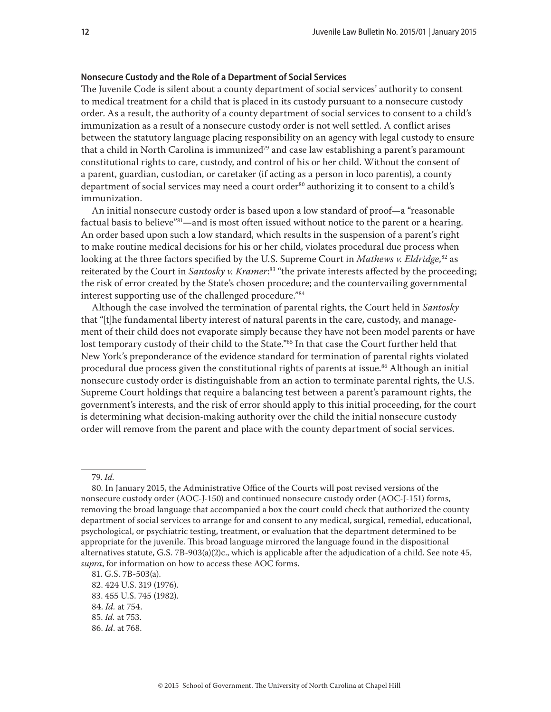#### **Nonsecure Custody and the Role of a Department of Social Services**

The Juvenile Code is silent about a county department of social services' authority to consent to medical treatment for a child that is placed in its custody pursuant to a nonsecure custody order. As a result, the authority of a county department of social services to consent to a child's immunization as a result of a nonsecure custody order is not well settled. A conflict arises between the statutory language placing responsibility on an agency with legal custody to ensure that a child in North Carolina is immunized<sup>79</sup> and case law establishing a parent's paramount constitutional rights to care, custody, and control of his or her child. Without the consent of a parent, guardian, custodian, or caretaker (if acting as a person in loco parentis), a county department of social services may need a court order<sup>80</sup> authorizing it to consent to a child's immunization.

An initial nonsecure custody order is based upon a low standard of proof—a "reasonable factual basis to believe"81-and is most often issued without notice to the parent or a hearing. An order based upon such a low standard, which results in the suspension of a parent's right to make routine medical decisions for his or her child, violates procedural due process when looking at the three factors specified by the U.S. Supreme Court in *Mathews v. Eldridge*, 82 as reiterated by the Court in *Santosky v. Kramer*: 83 "the private interests affected by the proceeding; the risk of error created by the State's chosen procedure; and the countervailing governmental interest supporting use of the challenged procedure."84

Although the case involved the termination of parental rights, the Court held in *Santosky* that "[t]he fundamental liberty interest of natural parents in the care, custody, and management of their child does not evaporate simply because they have not been model parents or have lost temporary custody of their child to the State."85 In that case the Court further held that New York's preponderance of the evidence standard for termination of parental rights violated procedural due process given the constitutional rights of parents at issue.<sup>86</sup> Although an initial nonsecure custody order is distinguishable from an action to terminate parental rights, the U.S. Supreme Court holdings that require a balancing test between a parent's paramount rights, the government's interests, and the risk of error should apply to this initial proceeding, for the court is determining what decision-making authority over the child the initial nonsecure custody order will remove from the parent and place with the county department of social services.

<sup>79.</sup> *Id.*

<sup>80.</sup> In January 2015, the Administrative Office of the Courts will post revised versions of the nonsecure custody order (AOC-J-150) and continued nonsecure custody order (AOC-J-151) forms, removing the broad language that accompanied a box the court could check that authorized the county department of social services to arrange for and consent to any medical, surgical, remedial, educational, psychological, or psychiatric testing, treatment, or evaluation that the department determined to be appropriate for the juvenile. This broad language mirrored the language found in the dispositional alternatives statute, G.S. 7B-903(a)(2)c., which is applicable after the adjudication of a child. See note 45, *supra*, for information on how to access these AOC forms.

<sup>81.</sup> G.S. 7B-503(a).

<sup>82. 424</sup> U.S. 319 (1976).

<sup>83. 455</sup> U.S. 745 (1982).

<sup>84.</sup> *Id.* at 754.

<sup>85.</sup> *Id.* at 753.

<sup>86.</sup> *Id*. at 768.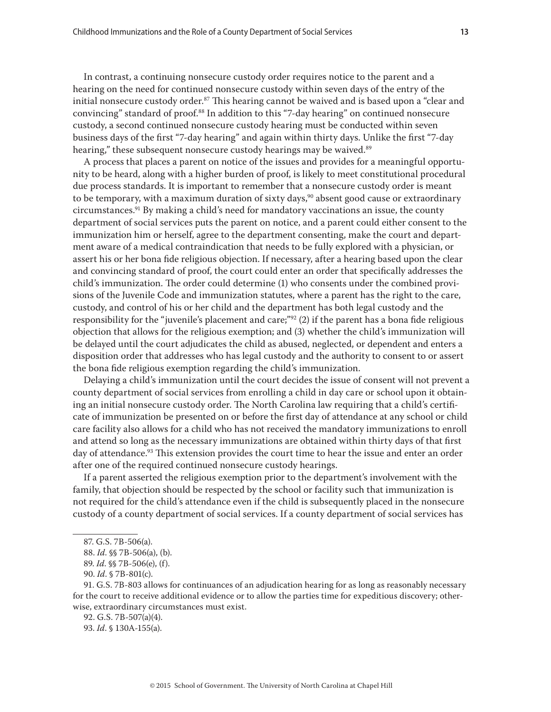In contrast, a continuing nonsecure custody order requires notice to the parent and a hearing on the need for continued nonsecure custody within seven days of the entry of the initial nonsecure custody order.<sup>87</sup> This hearing cannot be waived and is based upon a "clear and convincing" standard of proof.<sup>88</sup> In addition to this "7-day hearing" on continued nonsecure custody, a second continued nonsecure custody hearing must be conducted within seven business days of the first "7-day hearing" and again within thirty days. Unlike the first "7-day hearing," these subsequent nonsecure custody hearings may be waived.<sup>89</sup>

A process that places a parent on notice of the issues and provides for a meaningful opportunity to be heard, along with a higher burden of proof, is likely to meet constitutional procedural due process standards. It is important to remember that a nonsecure custody order is meant to be temporary, with a maximum duration of sixty days,<sup>90</sup> absent good cause or extraordinary circumstances.<sup>91</sup> By making a child's need for mandatory vaccinations an issue, the county department of social services puts the parent on notice, and a parent could either consent to the immunization him or herself, agree to the department consenting, make the court and department aware of a medical contraindication that needs to be fully explored with a physician, or assert his or her bona fide religious objection. If necessary, after a hearing based upon the clear and convincing standard of proof, the court could enter an order that specifically addresses the child's immunization. The order could determine (1) who consents under the combined provisions of the Juvenile Code and immunization statutes, where a parent has the right to the care, custody, and control of his or her child and the department has both legal custody and the responsibility for the "juvenile's placement and care;"<sup>92</sup> (2) if the parent has a bona fide religious objection that allows for the religious exemption; and (3) whether the child's immunization will be delayed until the court adjudicates the child as abused, neglected, or dependent and enters a disposition order that addresses who has legal custody and the authority to consent to or assert the bona fide religious exemption regarding the child's immunization.

Delaying a child's immunization until the court decides the issue of consent will not prevent a county department of social services from enrolling a child in day care or school upon it obtaining an initial nonsecure custody order. The North Carolina law requiring that a child's certificate of immunization be presented on or before the first day of attendance at any school or child care facility also allows for a child who has not received the mandatory immunizations to enroll and attend so long as the necessary immunizations are obtained within thirty days of that first day of attendance.<sup>93</sup> This extension provides the court time to hear the issue and enter an order after one of the required continued nonsecure custody hearings.

If a parent asserted the religious exemption prior to the department's involvement with the family, that objection should be respected by the school or facility such that immunization is not required for the child's attendance even if the child is subsequently placed in the nonsecure custody of a county department of social services. If a county department of social services has

91. G.S. 7B-803 allows for continuances of an adjudication hearing for as long as reasonably necessary for the court to receive additional evidence or to allow the parties time for expeditious discovery; otherwise, extraordinary circumstances must exist.

<sup>87.</sup> G.S. 7B-506(a).

<sup>88.</sup> *Id*. §§ 7B-506(a), (b).

<sup>89.</sup> *Id*. §§ 7B-506(e), (f).

<sup>90.</sup> *Id*. § 7B-801(c).

<sup>92.</sup> G.S. 7B-507(a)(4).

<sup>93.</sup> *Id*. § 130A-155(a).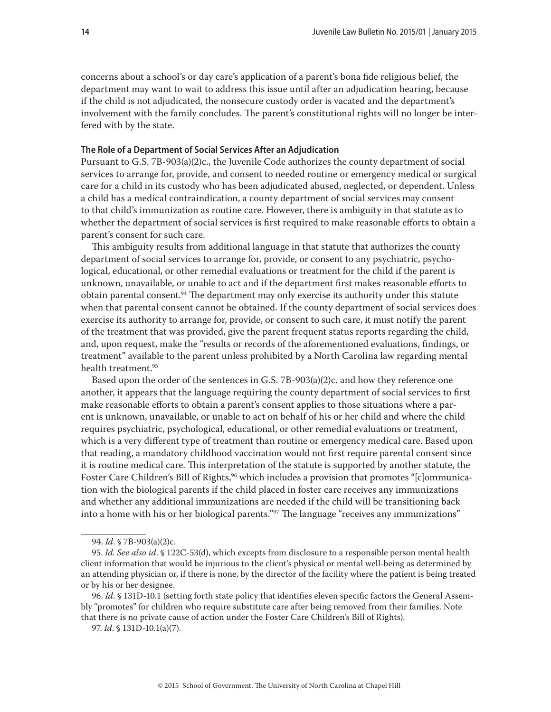concerns about a school's or day care's application of a parent's bona fide religious belief, the department may want to wait to address this issue until after an adjudication hearing, because if the child is not adjudicated, the nonsecure custody order is vacated and the department's involvement with the family concludes. The parent's constitutional rights will no longer be interfered with by the state.

#### **The Role of a Department of Social Services After an Adjudication**

Pursuant to G.S. 7B-903(a)(2)c., the Juvenile Code authorizes the county department of social services to arrange for, provide, and consent to needed routine or emergency medical or surgical care for a child in its custody who has been adjudicated abused, neglected, or dependent. Unless a child has a medical contraindication, a county department of social services may consent to that child's immunization as routine care. However, there is ambiguity in that statute as to whether the department of social services is first required to make reasonable efforts to obtain a parent's consent for such care.

This ambiguity results from additional language in that statute that authorizes the county department of social services to arrange for, provide, or consent to any psychiatric, psychological, educational, or other remedial evaluations or treatment for the child if the parent is unknown, unavailable, or unable to act and if the department first makes reasonable efforts to obtain parental consent.94 The department may only exercise its authority under this statute when that parental consent cannot be obtained. If the county department of social services does exercise its authority to arrange for, provide, or consent to such care, it must notify the parent of the treatment that was provided, give the parent frequent status reports regarding the child, and, upon request, make the "results or records of the aforementioned evaluations, findings, or treatment" available to the parent unless prohibited by a North Carolina law regarding mental health treatment.95

Based upon the order of the sentences in G.S. 7B-903(a)(2)c. and how they reference one another, it appears that the language requiring the county department of social services to first make reasonable efforts to obtain a parent's consent applies to those situations where a parent is unknown, unavailable, or unable to act on behalf of his or her child and where the child requires psychiatric, psychological, educational, or other remedial evaluations or treatment, which is a very different type of treatment than routine or emergency medical care. Based upon that reading, a mandatory childhood vaccination would not first require parental consent since it is routine medical care. This interpretation of the statute is supported by another statute, the Foster Care Children's Bill of Rights,<sup>96</sup> which includes a provision that promotes "[c]ommunication with the biological parents if the child placed in foster care receives any immunizations and whether any additional immunizations are needed if the child will be transitioning back into a home with his or her biological parents."97 The language "receives any immunizations"

<sup>94.</sup> *Id*. § 7B-903(a)(2)c.

<sup>95.</sup> *Id*. *See also id*. § 122C-53(d), which excepts from disclosure to a responsible person mental health client information that would be injurious to the client's physical or mental well-being as determined by an attending physician or, if there is none, by the director of the facility where the patient is being treated or by his or her designee.

<sup>96.</sup> *Id*. § 131D-10.1 (setting forth state policy that identifies eleven specific factors the General Assembly "promotes" for children who require substitute care after being removed from their families. Note that there is no private cause of action under the Foster Care Children's Bill of Rights).

<sup>97.</sup> *Id*. § 131D-10.1(a)(7).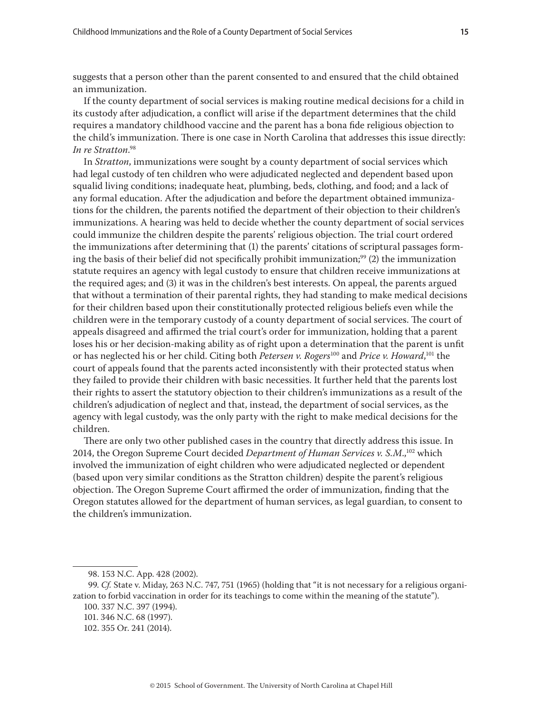suggests that a person other than the parent consented to and ensured that the child obtained an immunization.

If the county department of social services is making routine medical decisions for a child in its custody after adjudication, a conflict will arise if the department determines that the child requires a mandatory childhood vaccine and the parent has a bona fide religious objection to the child's immunization. There is one case in North Carolina that addresses this issue directly: *In re Stratton*. 98

In *Stratton*, immunizations were sought by a county department of social services which had legal custody of ten children who were adjudicated neglected and dependent based upon squalid living conditions; inadequate heat, plumbing, beds, clothing, and food; and a lack of any formal education. After the adjudication and before the department obtained immunizations for the children, the parents notified the department of their objection to their children's immunizations. A hearing was held to decide whether the county department of social services could immunize the children despite the parents' religious objection. The trial court ordered the immunizations after determining that (1) the parents' citations of scriptural passages forming the basis of their belief did not specifically prohibit immunization;<sup>99</sup> (2) the immunization statute requires an agency with legal custody to ensure that children receive immunizations at the required ages; and (3) it was in the children's best interests. On appeal, the parents argued that without a termination of their parental rights, they had standing to make medical decisions for their children based upon their constitutionally protected religious beliefs even while the children were in the temporary custody of a county department of social services. The court of appeals disagreed and affirmed the trial court's order for immunization, holding that a parent loses his or her decision-making ability as of right upon a determination that the parent is unfit or has neglected his or her child. Citing both *Petersen v. Rogers*100 and *Price v. Howard*, 101 the court of appeals found that the parents acted inconsistently with their protected status when they failed to provide their children with basic necessities. It further held that the parents lost their rights to assert the statutory objection to their children's immunizations as a result of the children's adjudication of neglect and that, instead, the department of social services, as the agency with legal custody, was the only party with the right to make medical decisions for the children.

There are only two other published cases in the country that directly address this issue. In 2014, the Oregon Supreme Court decided *Department of Human Services v. S.M*.,102 which involved the immunization of eight children who were adjudicated neglected or dependent (based upon very similar conditions as the Stratton children) despite the parent's religious objection. The Oregon Supreme Court affirmed the order of immunization, finding that the Oregon statutes allowed for the department of human services, as legal guardian, to consent to the children's immunization.

<sup>98. 153</sup> N.C. App. 428 (2002).

<sup>99.</sup> *Cf.* State v. Miday, 263 N.C. 747, 751 (1965) (holding that "it is not necessary for a religious organization to forbid vaccination in order for its teachings to come within the meaning of the statute").

<sup>100. 337</sup> N.C. 397 (1994).

<sup>101. 346</sup> N.C. 68 (1997).

<sup>102. 355</sup> Or. 241 (2014).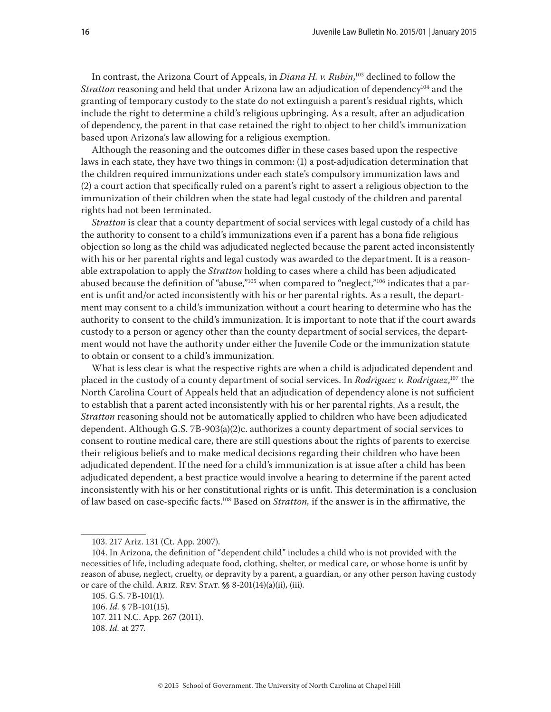In contrast, the Arizona Court of Appeals, in *Diana H. v. Rubin*, 103 declined to follow the Stratton reasoning and held that under Arizona law an adjudication of dependency<sup>104</sup> and the granting of temporary custody to the state do not extinguish a parent's residual rights, which include the right to determine a child's religious upbringing. As a result, after an adjudication of dependency, the parent in that case retained the right to object to her child's immunization based upon Arizona's law allowing for a religious exemption.

Although the reasoning and the outcomes differ in these cases based upon the respective laws in each state, they have two things in common: (1) a post-adjudication determination that the children required immunizations under each state's compulsory immunization laws and (2) a court action that specifically ruled on a parent's right to assert a religious objection to the immunization of their children when the state had legal custody of the children and parental rights had not been terminated.

*Stratton* is clear that a county department of social services with legal custody of a child has the authority to consent to a child's immunizations even if a parent has a bona fide religious objection so long as the child was adjudicated neglected because the parent acted inconsistently with his or her parental rights and legal custody was awarded to the department. It is a reasonable extrapolation to apply the *Stratton* holding to cases where a child has been adjudicated abused because the definition of "abuse,"<sup>105</sup> when compared to "neglect,"<sup>106</sup> indicates that a parent is unfit and/or acted inconsistently with his or her parental rights. As a result, the department may consent to a child's immunization without a court hearing to determine who has the authority to consent to the child's immunization. It is important to note that if the court awards custody to a person or agency other than the county department of social services, the department would not have the authority under either the Juvenile Code or the immunization statute to obtain or consent to a child's immunization.

What is less clear is what the respective rights are when a child is adjudicated dependent and placed in the custody of a county department of social services. In *Rodriguez v. Rodriguez*, 107 the North Carolina Court of Appeals held that an adjudication of dependency alone is not sufficient to establish that a parent acted inconsistently with his or her parental rights. As a result, the *Stratton* reasoning should not be automatically applied to children who have been adjudicated dependent. Although G.S. 7B-903(a)(2)c. authorizes a county department of social services to consent to routine medical care, there are still questions about the rights of parents to exercise their religious beliefs and to make medical decisions regarding their children who have been adjudicated dependent. If the need for a child's immunization is at issue after a child has been adjudicated dependent, a best practice would involve a hearing to determine if the parent acted inconsistently with his or her constitutional rights or is unfit. This determination is a conclusion of law based on case-specific facts.108 Based on *Stratton,* if the answer is in the affirmative, the

<sup>103. 217</sup> Ariz. 131 (Ct. App. 2007).

<sup>104.</sup> In Arizona, the definition of "dependent child" includes a child who is not provided with the necessities of life, including adequate food, clothing, shelter, or medical care, or whose home is unfit by reason of abuse, neglect, cruelty, or depravity by a parent, a guardian, or any other person having custody or care of the child. ARIZ. REV. STAT.  $\S$ § 8-201(14)(a)(ii), (iii).

<sup>105.</sup> G.S. 7B-101(1).

<sup>106.</sup> *Id.* § 7B-101(15). 107. 211 N.C. App. 267 (2011). 108. *Id.* at 277.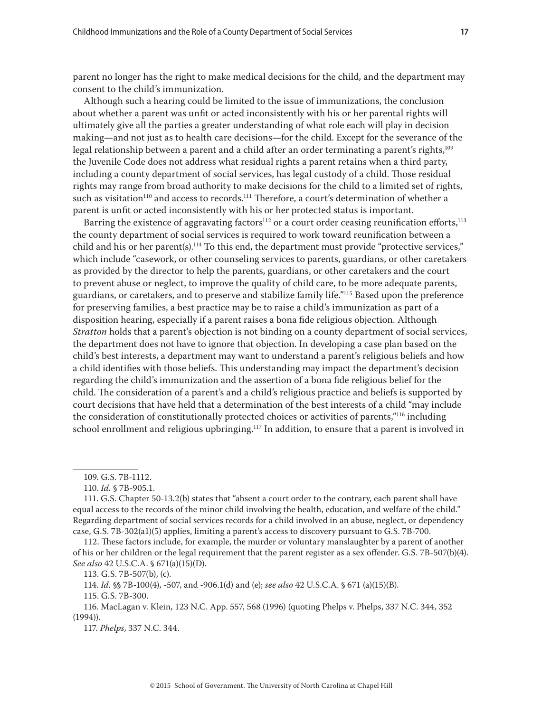parent no longer has the right to make medical decisions for the child, and the department may consent to the child's immunization.

Although such a hearing could be limited to the issue of immunizations, the conclusion about whether a parent was unfit or acted inconsistently with his or her parental rights will ultimately give all the parties a greater understanding of what role each will play in decision making—and not just as to health care decisions—for the child. Except for the severance of the legal relationship between a parent and a child after an order terminating a parent's rights,<sup>109</sup> the Juvenile Code does not address what residual rights a parent retains when a third party, including a county department of social services, has legal custody of a child. Those residual rights may range from broad authority to make decisions for the child to a limited set of rights, such as visitation<sup>110</sup> and access to records.<sup>111</sup> Therefore, a court's determination of whether a parent is unfit or acted inconsistently with his or her protected status is important.

Barring the existence of aggravating factors<sup>112</sup> or a court order ceasing reunification efforts,<sup>113</sup> the county department of social services is required to work toward reunification between a child and his or her parent(s).<sup>114</sup> To this end, the department must provide "protective services," which include "casework, or other counseling services to parents, guardians, or other caretakers as provided by the director to help the parents, guardians, or other caretakers and the court to prevent abuse or neglect, to improve the quality of child care, to be more adequate parents, guardians, or caretakers, and to preserve and stabilize family life."115 Based upon the preference for preserving families, a best practice may be to raise a child's immunization as part of a disposition hearing, especially if a parent raises a bona fide religious objection. Although *Stratton* holds that a parent's objection is not binding on a county department of social services, the department does not have to ignore that objection. In developing a case plan based on the child's best interests, a department may want to understand a parent's religious beliefs and how a child identifies with those beliefs. This understanding may impact the department's decision regarding the child's immunization and the assertion of a bona fide religious belief for the child. The consideration of a parent's and a child's religious practice and beliefs is supported by court decisions that have held that a determination of the best interests of a child "may include the consideration of constitutionally protected choices or activities of parents,"<sup>116</sup> including school enrollment and religious upbringing.<sup>117</sup> In addition, to ensure that a parent is involved in

113. G.S. 7B-507(b), (c).

114. *Id.* §§ 7B-100(4), -507, and -906.1(d) and (e); *see also* 42 U.S.C.A. § 671 (a)(15)(B).

115. G.S. 7B-300.

117. *Phelps*, 337 N.C. 344.

<sup>109.</sup> G.S. 7B-1112.

<sup>110.</sup> *Id.* § 7B-905.1.

<sup>111.</sup> G.S. Chapter 50-13.2(b) states that "absent a court order to the contrary, each parent shall have equal access to the records of the minor child involving the health, education, and welfare of the child." Regarding department of social services records for a child involved in an abuse, neglect, or dependency case, G.S. 7B-302(a1)(5) applies, limiting a parent's access to discovery pursuant to G.S. 7B-700.

<sup>112.</sup> These factors include, for example, the murder or voluntary manslaughter by a parent of another of his or her children or the legal requirement that the parent register as a sex offender. G.S. 7B-507(b)(4). *See also* 42 U.S.C.A. § 671(a)(15)(D).

<sup>116.</sup> MacLagan v. Klein, 123 N.C. App. 557, 568 (1996) (quoting Phelps v. Phelps, 337 N.C. 344, 352 (1994)).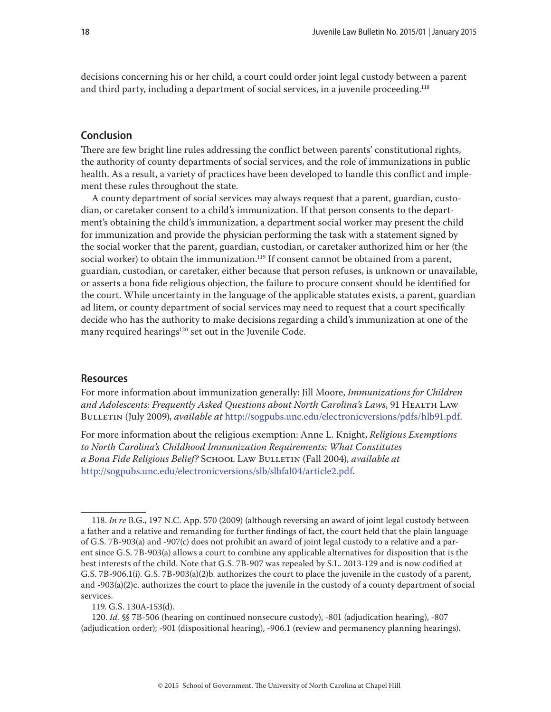decisions concerning his or her child, a court could order joint legal custody between a parent and third party, including a department of social services, in a juvenile proceeding.<sup>118</sup>

#### **Conclusion**

There are few bright line rules addressing the conflict between parents' constitutional rights, the authority of county departments of social services, and the role of immunizations in public health. As a result, a variety of practices have been developed to handle this conflict and implement these rules throughout the state.

A county department of social services may always request that a parent, guardian, custodian, or caretaker consent to a child's immunization. If that person consents to the department's obtaining the child's immunization, a department social worker may present the child for immunization and provide the physician performing the task with a statement signed by the social worker that the parent, guardian, custodian, or caretaker authorized him or her (the social worker) to obtain the immunization.<sup>119</sup> If consent cannot be obtained from a parent, guardian, custodian, or caretaker, either because that person refuses, is unknown or unavailable, or asserts a bona fide religious objection, the failure to procure consent should be identified for the court. While uncertainty in the language of the applicable statutes exists, a parent, guardian ad litem, or county department of social services may need to request that a court specifically decide who has the authority to make decisions regarding a child's immunization at one of the many required hearings<sup>120</sup> set out in the Juvenile Code.

#### **Resources**

For more information about immunization generally: Jill Moore, *Immunizations for Children and Adolescents: Frequently Asked Questions about North Carolina's Laws*, 91 Health Law Bulletin (July 2009), *available at* <http://sogpubs.unc.edu/electronicversions/pdfs/hlb91.pdf>.

For more information about the religious exemption: Anne L. Knight, *Religious Exemptions to North Carolina's Childhood Immunization Requirements: What Constitutes a Bona Fide Religious Belief?* School Law Bulletin (Fall 2004), *available at* [http://sogpubs.unc.edu/electronicversions/slb/slbfal04/article2.pdf.](http://sogpubs.unc.edu/electronicversions/slb/slbfal04/article2.pdf)

119. G.S. 130A-153(d).

120. *Id.* §§ 7B-506 (hearing on continued nonsecure custody), -801 (adjudication hearing), -807 (adjudication order); -901 (dispositional hearing), -906.1 (review and permanency planning hearings).

<sup>118.</sup> *In re* B.G., 197 N.C. App. 570 (2009) (although reversing an award of joint legal custody between a father and a relative and remanding for further findings of fact, the court held that the plain language of G.S. 7B-903(a) and -907(c) does not prohibit an award of joint legal custody to a relative and a parent since G.S. 7B-903(a) allows a court to combine any applicable alternatives for disposition that is the best interests of the child. Note that G.S. 7B-907 was repealed by S.L. 2013-129 and is now codified at G.S. 7B-906.1(i). G.S. 7B-903(a)(2)b. authorizes the court to place the juvenile in the custody of a parent, and -903(a)(2)c. authorizes the court to place the juvenile in the custody of a county department of social services.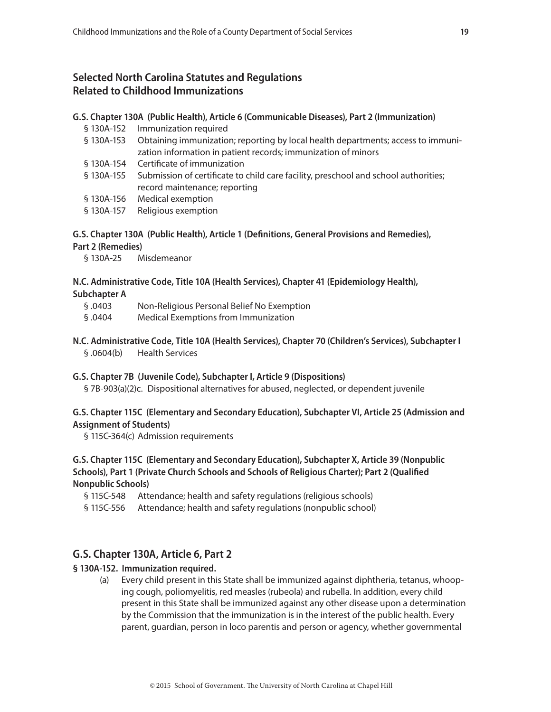#### **Selected North Carolina Statutes and Regulations Related to Childhood Immunizations**

#### **G.S. Chapter 130A (Public Health), Article 6 (Communicable Diseases), Part 2 (Immunization)**

- § 130A-152 Immunization required
- § 130A-153 Obtaining immunization; reporting by local health departments; access to immunization information in patient records; immunization of minors
- § 130A-154 Certificate of immunization
- § 130A-155 Submission of certificate to child care facility, preschool and school authorities; record maintenance; reporting
- § 130A-156 Medical exemption
- § 130A-157 Religious exemption

#### **G.S. Chapter 130A (Public Health), Article 1 (Definitions, General Provisions and Remedies),**

#### **Part 2 (Remedies)**

§ 130A-25 Misdemeanor

#### **N.C. Administrative Code, Title 10A (Health Services), Chapter 41 (Epidemiology Health),**

**Subchapter A**

- § .0403 Non-Religious Personal Belief No Exemption
- § .0404 Medical Exemptions from Immunization
- **N.C. Administrative Code, Title 10A (Health Services), Chapter 70 (Children's Services), Subchapter I** § .0604(b) Health Services

#### **G.S. Chapter 7B (Juvenile Code), Subchapter I, Article 9 (Dispositions)**

§ 7B-903(a)(2)c. Dispositional alternatives for abused, neglected, or dependent juvenile

#### **G.S. Chapter 115C (Elementary and Secondary Education), Subchapter VI, Article 25 (Admission and Assignment of Students)**

§ 115C-364(c) Admission requirements

**G.S. Chapter 115C (Elementary and Secondary Education), Subchapter X, Article 39 (Nonpublic Schools), Part 1 (Private Church Schools and Schools of Religious Charter); Part 2 (Qualified Nonpublic Schools)**

- § 115C-548 Attendance; health and safety regulations (religious schools)
- § 115C-556 Attendance; health and safety regulations (nonpublic school)

#### **G.S. Chapter 130A, Article 6, Part 2**

#### **§ 130A-152. Immunization required.**

(a) Every child present in this State shall be immunized against diphtheria, tetanus, whooping cough, poliomyelitis, red measles (rubeola) and rubella. In addition, every child present in this State shall be immunized against any other disease upon a determination by the Commission that the immunization is in the interest of the public health. Every parent, guardian, person in loco parentis and person or agency, whether governmental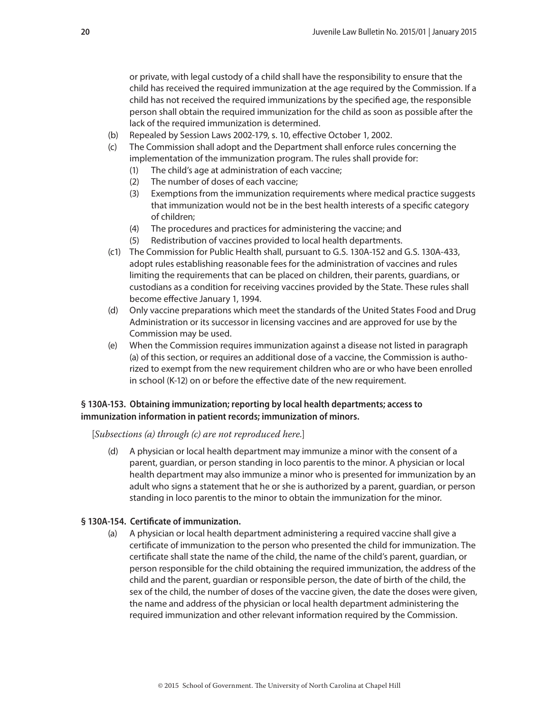or private, with legal custody of a child shall have the responsibility to ensure that the child has received the required immunization at the age required by the Commission. If a child has not received the required immunizations by the specified age, the responsible person shall obtain the required immunization for the child as soon as possible after the lack of the required immunization is determined.

- (b) Repealed by Session Laws 2002-179, s. 10, effective October 1, 2002.
- (c) The Commission shall adopt and the Department shall enforce rules concerning the implementation of the immunization program. The rules shall provide for:
	- (1) The child's age at administration of each vaccine;
	- (2) The number of doses of each vaccine;
	- (3) Exemptions from the immunization requirements where medical practice suggests that immunization would not be in the best health interests of a specific category of children;
	- (4) The procedures and practices for administering the vaccine; and
	- (5) Redistribution of vaccines provided to local health departments.
- (c1) The Commission for Public Health shall, pursuant to G.S. 130A-152 and G.S. 130A-433, adopt rules establishing reasonable fees for the administration of vaccines and rules limiting the requirements that can be placed on children, their parents, guardians, or custodians as a condition for receiving vaccines provided by the State. These rules shall become effective January 1, 1994.
- (d) Only vaccine preparations which meet the standards of the United States Food and Drug Administration or its successor in licensing vaccines and are approved for use by the Commission may be used.
- (e) When the Commission requires immunization against a disease not listed in paragraph (a) of this section, or requires an additional dose of a vaccine, the Commission is authorized to exempt from the new requirement children who are or who have been enrolled in school (K-12) on or before the effective date of the new requirement.

#### **§ 130A-153. Obtaining immunization; reporting by local health departments; access to immunization information in patient records; immunization of minors.**

[*Subsections (a) through (c) are not reproduced here.*]

(d) A physician or local health department may immunize a minor with the consent of a parent, guardian, or person standing in loco parentis to the minor. A physician or local health department may also immunize a minor who is presented for immunization by an adult who signs a statement that he or she is authorized by a parent, guardian, or person standing in loco parentis to the minor to obtain the immunization for the minor.

#### **§ 130A-154. Certificate of immunization.**

(a) A physician or local health department administering a required vaccine shall give a certificate of immunization to the person who presented the child for immunization. The certificate shall state the name of the child, the name of the child's parent, guardian, or person responsible for the child obtaining the required immunization, the address of the child and the parent, guardian or responsible person, the date of birth of the child, the sex of the child, the number of doses of the vaccine given, the date the doses were given, the name and address of the physician or local health department administering the required immunization and other relevant information required by the Commission.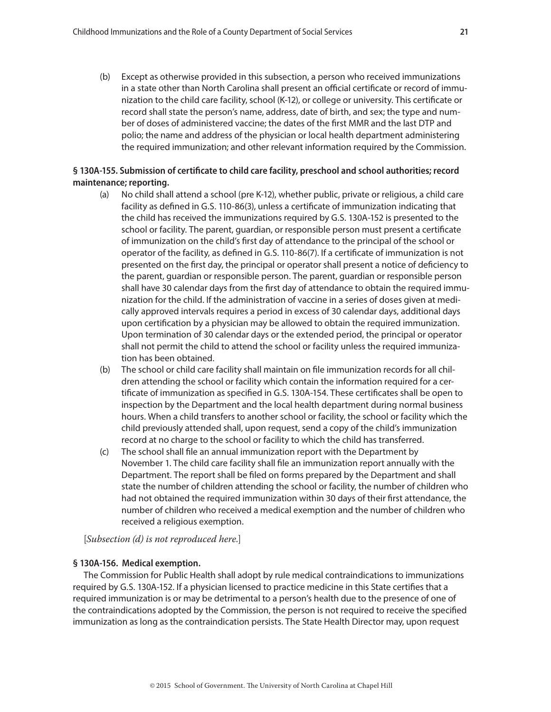(b) Except as otherwise provided in this subsection, a person who received immunizations in a state other than North Carolina shall present an official certificate or record of immunization to the child care facility, school (K-12), or college or university. This certificate or record shall state the person's name, address, date of birth, and sex; the type and number of doses of administered vaccine; the dates of the first MMR and the last DTP and polio; the name and address of the physician or local health department administering the required immunization; and other relevant information required by the Commission.

#### **§ 130A-155. Submission of certificate to child care facility, preschool and school authorities; record maintenance; reporting.**

- (a) No child shall attend a school (pre K-12), whether public, private or religious, a child care facility as defined in G.S. 110-86(3), unless a certificate of immunization indicating that the child has received the immunizations required by G.S. 130A-152 is presented to the school or facility. The parent, guardian, or responsible person must present a certificate of immunization on the child's first day of attendance to the principal of the school or operator of the facility, as defined in G.S. 110-86(7). If a certificate of immunization is not presented on the first day, the principal or operator shall present a notice of deficiency to the parent, guardian or responsible person. The parent, guardian or responsible person shall have 30 calendar days from the first day of attendance to obtain the required immunization for the child. If the administration of vaccine in a series of doses given at medically approved intervals requires a period in excess of 30 calendar days, additional days upon certification by a physician may be allowed to obtain the required immunization. Upon termination of 30 calendar days or the extended period, the principal or operator shall not permit the child to attend the school or facility unless the required immunization has been obtained.
- (b) The school or child care facility shall maintain on file immunization records for all children attending the school or facility which contain the information required for a certificate of immunization as specified in G.S. 130A-154. These certificates shall be open to inspection by the Department and the local health department during normal business hours. When a child transfers to another school or facility, the school or facility which the child previously attended shall, upon request, send a copy of the child's immunization record at no charge to the school or facility to which the child has transferred.
- (c) The school shall file an annual immunization report with the Department by November 1. The child care facility shall file an immunization report annually with the Department. The report shall be filed on forms prepared by the Department and shall state the number of children attending the school or facility, the number of children who had not obtained the required immunization within 30 days of their first attendance, the number of children who received a medical exemption and the number of children who received a religious exemption.

[*Subsection (d) is not reproduced here.*]

#### **§ 130A-156. Medical exemption.**

The Commission for Public Health shall adopt by rule medical contraindications to immunizations required by G.S. 130A-152. If a physician licensed to practice medicine in this State certifies that a required immunization is or may be detrimental to a person's health due to the presence of one of the contraindications adopted by the Commission, the person is not required to receive the specified immunization as long as the contraindication persists. The State Health Director may, upon request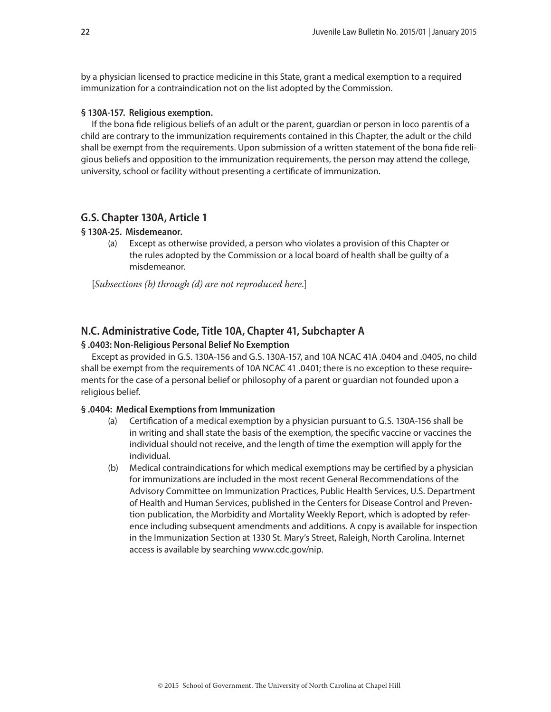by a physician licensed to practice medicine in this State, grant a medical exemption to a required immunization for a contraindication not on the list adopted by the Commission.

#### **§ 130A-157. Religious exemption.**

If the bona fide religious beliefs of an adult or the parent, guardian or person in loco parentis of a child are contrary to the immunization requirements contained in this Chapter, the adult or the child shall be exempt from the requirements. Upon submission of a written statement of the bona fide religious beliefs and opposition to the immunization requirements, the person may attend the college, university, school or facility without presenting a certificate of immunization.

#### **G.S. Chapter 130A, Article 1**

#### **§ 130A-25. Misdemeanor.**

(a) Except as otherwise provided, a person who violates a provision of this Chapter or the rules adopted by the Commission or a local board of health shall be guilty of a misdemeanor.

[*Subsections (b) through (d) are not reproduced here.*]

#### **N.C. Administrative Code, Title 10A, Chapter 41, Subchapter A**

#### **§ .0403: Non-Religious Personal Belief No Exemption**

Except as provided in G.S. 130A-156 and G.S. 130A-157, and 10A NCAC 41A .0404 and .0405, no child shall be exempt from the requirements of 10A NCAC 41 .0401; there is no exception to these requirements for the case of a personal belief or philosophy of a parent or guardian not founded upon a religious belief.

#### **§ .0404: Medical Exemptions from Immunization**

- (a) Certification of a medical exemption by a physician pursuant to G.S. 130A-156 shall be in writing and shall state the basis of the exemption, the specific vaccine or vaccines the individual should not receive, and the length of time the exemption will apply for the individual.
- (b) Medical contraindications for which medical exemptions may be certified by a physician for immunizations are included in the most recent General Recommendations of the Advisory Committee on Immunization Practices, Public Health Services, U.S. Department of Health and Human Services, published in the Centers for Disease Control and Prevention publication, the Morbidity and Mortality Weekly Report, which is adopted by reference including subsequent amendments and additions. A copy is available for inspection in the Immunization Section at 1330 St. Mary's Street, Raleigh, North Carolina. Internet access is available by searching www.cdc.gov/nip.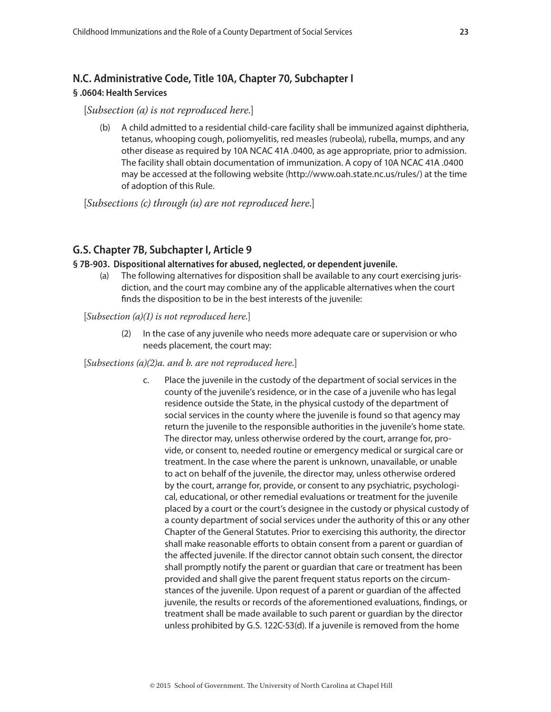### **N.C. Administrative Code, Title 10A, Chapter 70, Subchapter I § .0604: Health Services**

#### [*Subsection (a) is not reproduced here.*]

(b) A child admitted to a residential child-care facility shall be immunized against diphtheria, tetanus, whooping cough, poliomyelitis, red measles (rubeola), rubella, mumps, and any other disease as required by 10A NCAC 41A .0400, as age appropriate, prior to admission. The facility shall obtain documentation of immunization. A copy of 10A NCAC 41A .0400 may be accessed at the following website (http://www.oah.state.nc.us/rules/) at the time of adoption of this Rule.

[*Subsections (c) through (u) are not reproduced here.*]

#### **G.S. Chapter 7B, Subchapter I, Article 9**

#### **§ 7B-903. Dispositional alternatives for abused, neglected, or dependent juvenile.**

(a) The following alternatives for disposition shall be available to any court exercising jurisdiction, and the court may combine any of the applicable alternatives when the court finds the disposition to be in the best interests of the juvenile:

[*Subsection (a)(1) is not reproduced here.*]

(2) In the case of any juvenile who needs more adequate care or supervision or who needs placement, the court may:

#### [*Subsections (a)(2)a. and b. are not reproduced here.*]

c. Place the juvenile in the custody of the department of social services in the county of the juvenile's residence, or in the case of a juvenile who has legal residence outside the State, in the physical custody of the department of social services in the county where the juvenile is found so that agency may return the juvenile to the responsible authorities in the juvenile's home state. The director may, unless otherwise ordered by the court, arrange for, provide, or consent to, needed routine or emergency medical or surgical care or treatment. In the case where the parent is unknown, unavailable, or unable to act on behalf of the juvenile, the director may, unless otherwise ordered by the court, arrange for, provide, or consent to any psychiatric, psychological, educational, or other remedial evaluations or treatment for the juvenile placed by a court or the court's designee in the custody or physical custody of a county department of social services under the authority of this or any other Chapter of the General Statutes. Prior to exercising this authority, the director shall make reasonable efforts to obtain consent from a parent or guardian of the affected juvenile. If the director cannot obtain such consent, the director shall promptly notify the parent or guardian that care or treatment has been provided and shall give the parent frequent status reports on the circumstances of the juvenile. Upon request of a parent or guardian of the affected juvenile, the results or records of the aforementioned evaluations, findings, or treatment shall be made available to such parent or guardian by the director unless prohibited by G.S. 122C-53(d). If a juvenile is removed from the home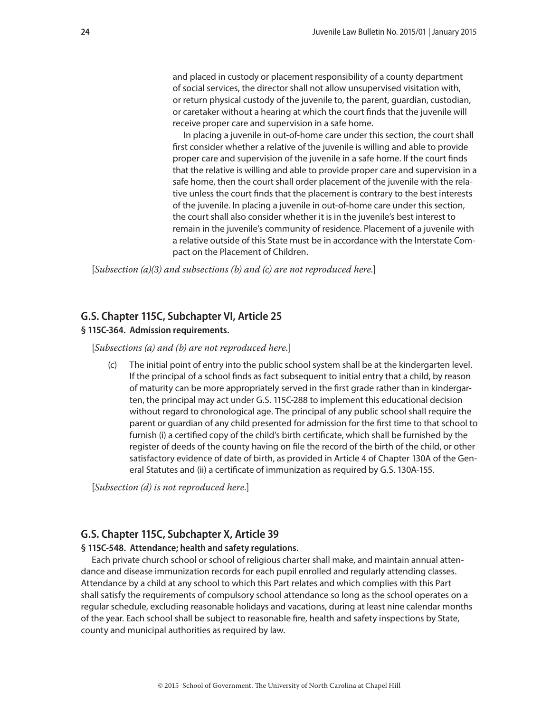and placed in custody or placement responsibility of a county department of social services, the director shall not allow unsupervised visitation with, or return physical custody of the juvenile to, the parent, guardian, custodian, or caretaker without a hearing at which the court finds that the juvenile will receive proper care and supervision in a safe home.

In placing a juvenile in out-of-home care under this section, the court shall first consider whether a relative of the juvenile is willing and able to provide proper care and supervision of the juvenile in a safe home. If the court finds that the relative is willing and able to provide proper care and supervision in a safe home, then the court shall order placement of the juvenile with the relative unless the court finds that the placement is contrary to the best interests of the juvenile. In placing a juvenile in out-of-home care under this section, the court shall also consider whether it is in the juvenile's best interest to remain in the juvenile's community of residence. Placement of a juvenile with a relative outside of this State must be in accordance with the Interstate Compact on the Placement of Children.

[*Subsection (a)(3) and subsections (b) and (c) are not reproduced here.*]

#### **G.S. Chapter 115C, Subchapter VI, Article 25**

#### **§ 115C-364. Admission requirements.**

[*Subsections (a) and (b) are not reproduced here.*]

(c) The initial point of entry into the public school system shall be at the kindergarten level. If the principal of a school finds as fact subsequent to initial entry that a child, by reason of maturity can be more appropriately served in the first grade rather than in kindergarten, the principal may act under G.S. 115C-288 to implement this educational decision without regard to chronological age. The principal of any public school shall require the parent or guardian of any child presented for admission for the first time to that school to furnish (i) a certified copy of the child's birth certificate, which shall be furnished by the register of deeds of the county having on file the record of the birth of the child, or other satisfactory evidence of date of birth, as provided in Article 4 of Chapter 130A of the General Statutes and (ii) a certificate of immunization as required by G.S. 130A-155.

[*Subsection (d) is not reproduced here.*]

#### **G.S. Chapter 115C, Subchapter X, Article 39**

#### **§ 115C-548. Attendance; health and safety regulations.**

Each private church school or school of religious charter shall make, and maintain annual attendance and disease immunization records for each pupil enrolled and regularly attending classes. Attendance by a child at any school to which this Part relates and which complies with this Part shall satisfy the requirements of compulsory school attendance so long as the school operates on a regular schedule, excluding reasonable holidays and vacations, during at least nine calendar months of the year. Each school shall be subject to reasonable fire, health and safety inspections by State, county and municipal authorities as required by law.